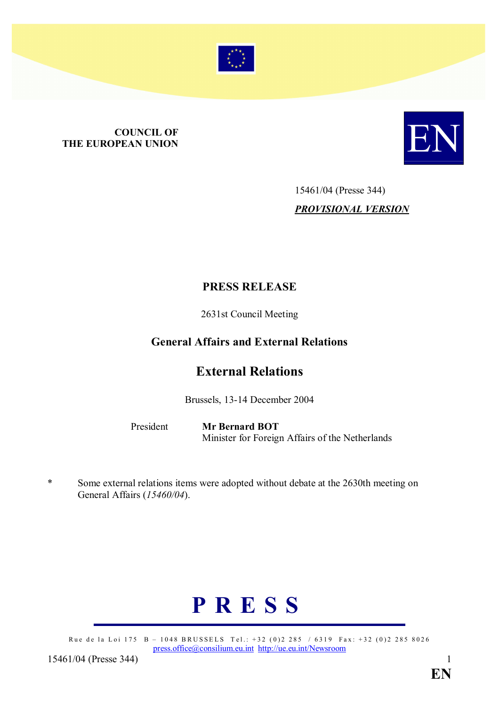

# **COUNCIL OF<br>THE EUROPEAN UNION COUNCIL OF THE EUROPEAN UNION**



# 15461/04 (Presse 344) PROVISIONAL VERSION

### PRESS RELEASE

2631st Council Meeting

## General Affairs and External Relations

# External Relations

Brussels, 13-14 December 2004

President Mr Bernard BOT Minister for Foreign Affairs of the Netherlands

\* Some external relations items were adopted without debate at the 2630th meeting on General Affairs (15460/04).

# P R E S S

Rue de la Loi 175 B – 1048 BRUSSELS Tel.: +32 (0)2 285 / 6319 Fax: +32 (0)2 285 8026 press.office@consilium.eu.int http://ue.eu.int/Newsroom

15461/04 (Presse 344) 15461/04 (Presse 344)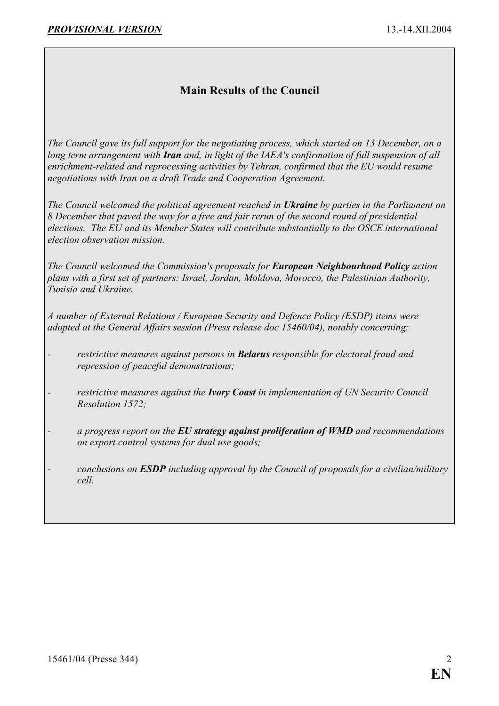# Main Results of the Council

The Council gave its full support for the negotiating process, which started on 13 December, on a long term arrangement with Iran and, in light of the IAEA's confirmation of full suspension of all enrichment-related and reprocessing activities by Tehran, confirmed that the EU would resume negotiations with Iran on a draft Trade and Cooperation Agreement.

The Council welcomed the political agreement reached in Ukraine by parties in the Parliament on 8 December that paved the way for a free and fair rerun of the second round of presidential elections. The EU and its Member States will contribute substantially to the OSCE international election observation mission.

The Council welcomed the Commission's proposals for **European Neighbourhood Policy** action plans with a first set of partners: Israel, Jordan, Moldova, Morocco, the Palestinian Authority, Tunisia and Ukraine.

A number of External Relations / European Security and Defence Policy (ESDP) items were adopted at the General Affairs session (Press release doc 15460/04), notably concerning:

- restrictive measures against persons in **Belarus** responsible for electoral fraud and repression of peaceful demonstrations;
- restrictive measures against the **Ivory Coast** in implementation of UN Security Council Resolution 1572;
- $a$  progress report on the EU strategy against proliferation of WMD and recommendations on export control systems for dual use goods;
- conclusions on **ESDP** including approval by the Council of proposals for a civilian/military cell.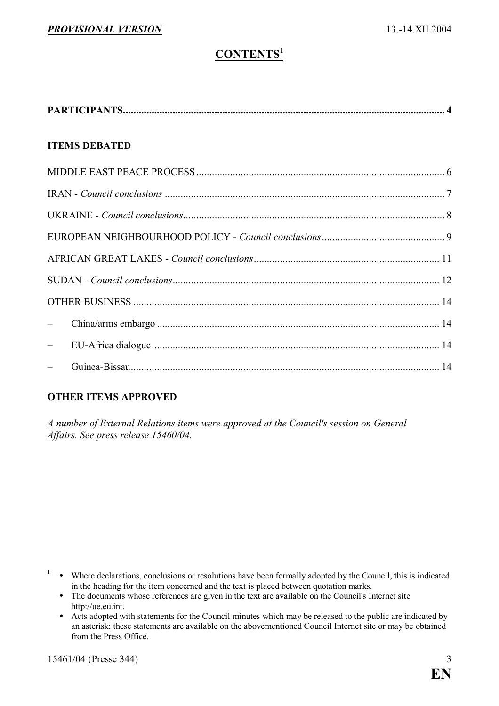# CONTENTS<sup>1</sup>

| <b>ITEMS DEBATED</b>     |  |
|--------------------------|--|
|                          |  |
|                          |  |
|                          |  |
|                          |  |
|                          |  |
|                          |  |
|                          |  |
| $\overline{\phantom{0}}$ |  |
| $\frac{1}{2}$            |  |
| $\frac{1}{2}$            |  |

#### OTHER ITEMS APPROVED

A number of External Relations items were approved at the Council's session on General Affairs. See press release 15460/04.

- $\cdot$  Where declarations, conclusions or resolutions have been formally adopted by the Council, this is indicated in the heading for the item concerned and the text is placed between quotation marks.
- The documents whose references are given in the text are available on the Council's Internet site http://ue.eu.int.
	- $\bullet$  Acts adopted with statements for the Council minutes which may be released to the public are indicated by an asterisk; these statements are available on the abovementioned Council Internet site or may be obtained from the Press Office.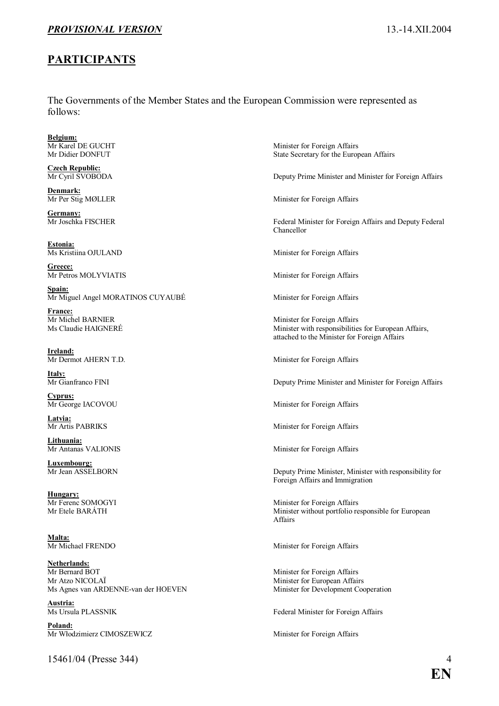#### PROVISIONAL VERSION 13.-14.XII.2004

#### PARTICIPANTS

The Governments of the Member States and the European Commission were represented as follows:

**Belgium:**<br>Mr Karel DE GUCHT

Czech Republic:<br>Mr Cyril SVOBODA

Denmark:<br>Mr Per Stig MØLLER

**Germany:**<br>Mr Joschka FISCHER

Estonia:<br>Ms Kristiina OJULAND

Greece:

Spain: Mr Miguel Angel MORATINOS CUYAUBÉ Minister for Foreign Affairs

**France:**<br>Mr Michel BARNIER

Ireland:<br>Mr Dermot AHERN T.D.

**Italy:**<br>Mr Gianfranco FINI

Cyprus:<br>Mr George IACOVOU

Latvia:<br>Mr Artis PABRIKS

Lithuania:<br>Mr Antanas VALIONIS

**Luxembourg:**<br>Mr Jean ASSELBORN

**Hungary:**<br>Mr Ferenc SOMOGYI

Malta:<br>Mr Michael FRENDO

Netherlands:<br>Mr Bernard BOT Mr Atzo NICOLAÏ Minister for European Affairs Ms Agnes van ARDENNE-van der HOEVEN Minister for Development Cooperation

**Austria:**<br>Ms Ursula PLASSNIK

Poland: Mr Włodzimierz CIMOSZEWICZ Minister for Foreign Affairs

15461/04 (Presse 344) 4

Minister for Foreign Affairs Mr Didier DONFUT State Secretary for the European Affairs

Deputy Prime Minister and Minister for Foreign Affairs

Minister for Foreign Affairs

Federal Minister for Foreign Affairs and Deputy Federal Chancellor

Minister for Foreign Affairs

Mr Petros MOLYVIATIS Minister for Foreign Affairs

Mr Michel BARNIER<br>
Ms Claudie HAIGNERÉ<br>
Minister with responsibilitie Minister with responsibilities for European Affairs, attached to the Minister for Foreign Affairs

Minister for Foreign Affairs

Deputy Prime Minister and Minister for Foreign Affairs

Minister for Foreign Affairs

Minister for Foreign Affairs

Minister for Foreign Affairs

Deputy Prime Minister, Minister with responsibility for Foreign Affairs and Immigration

Mr Ferenc SOMOGYI Minister for Foreign Affairs<br>Mr Etele BARÁTH Minister without nortfolio re Minister without portfolio responsible for European Affairs

Minister for Foreign Affairs

Minister for Foreign Affairs

Federal Minister for Foreign Affairs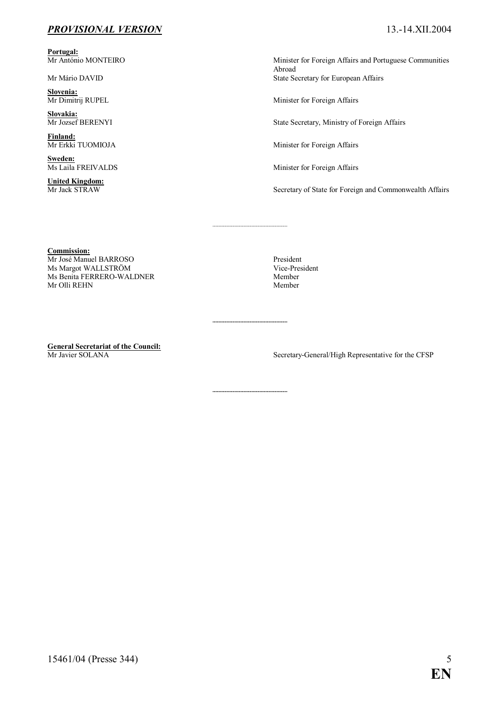#### PROVISIONAL VERSION 13.-14.XII.2004

Portugal:<br>Mr António MONTEIRO

Slovenia:<br>Mr Dimitrij RUPEL

Slovakia:<br>Mr Jozsef BERENYI

**Finland:**<br>Mr Erkki TUOMIOJA

Sweden:<br>Ms Laila FREIVALDS

**United Kingdom:**<br>Mr Jack STRAW

Minister for Foreign Affairs and Portuguese Communities Abroad Mr Mário DAVID State Secretary for European Affairs

Minister for Foreign Affairs

State Secretary, Ministry of Foreign Affairs

Minister for Foreign Affairs

Minister for Foreign Affairs

Secretary of State for Foreign and Commonwealth Affairs

Commission:

Mr José Manuel BARROSO President Ms Margot WALLSTRÖM Vice-President Ns Renita FERRERO-WALDNER Vice-President Nember Ms Benita FERRERO-WALDNER<br>Mr Olli REHN Member Mr Olli REHN

**General Secretariat of the Council:**<br>Mr Javier SOLANA

Secretary-General/High Representative for the CFSP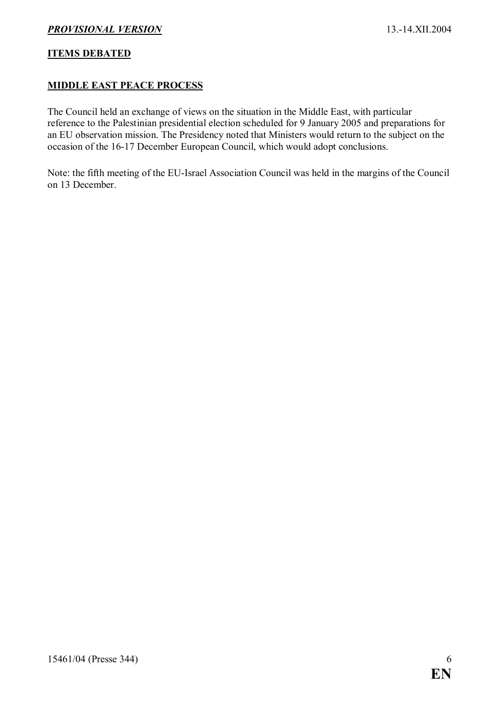#### ITEMS DEBATED

#### MIDDLE EAST PEACE PROCESS

The Council held an exchange of views on the situation in the Middle East, with particular reference to the Palestinian presidential election scheduled for 9 January 2005 and preparations for an EU observation mission. The Presidency noted that Ministers would return to the subject on the occasion of the 16-17 December European Council, which would adopt conclusions.

Note: the fifth meeting of the EU-Israel Association Council was held in the margins of the Council on 13 December.